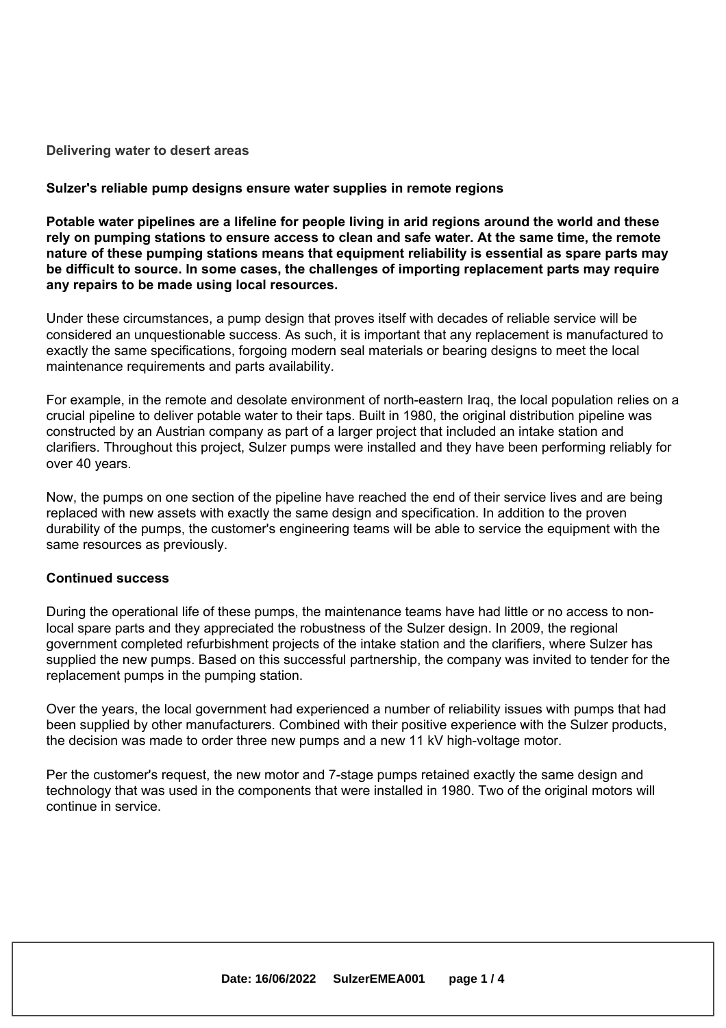#### **Delivering water to desert areas**

#### **Sulzer's reliable pump designs ensure water supplies in remote regions**

**Potable water pipelines are <sup>a</sup> lifeline for people living in arid regions around the world and these rely on pumping stations to ensure access to clean and safe water. At the same time, the remote nature of these pumping stations means that equipment reliability is essential as spare parts may be difficult to source. In some cases, the challenges of importing replacement parts may require any repairs to be made using local resources.**

Under these circumstances, <sup>a</sup> pump design that proves itself with decades of reliable service will be considered an unquestionable success. As such, it is important that any replacement is manufactured to exactly the same specifications, forgoing modern seal materials or bearing designs to meet the local maintenance requirements and parts availability.

For example, in the remote and desolate environment of north-eastern Iraq, the local population relies on <sup>a</sup> crucial pipeline to deliver potable water to their taps. Built in 1980, the original distribution pipeline was constructed by an Austrian company as part of <sup>a</sup> larger project that included an intake station and clarifiers. Throughout this project, Sulzer pumps were installed and they have been performing reliably for over 40 years.

Now, the pumps on one section of the pipeline have reached the end of their service lives and are being replaced with new assets with exactly the same design and specification. In addition to the proven durability of the pumps, the customer's engineering teams will be able to service the equipment with the same resources as previously.

#### **Continued success**

During the operational life of these pumps, the maintenance teams have had little or no access to nonlocal spare parts and they appreciated the robustness of the Sulzer design. In 2009, the regional government completed refurbishment projects of the intake station and the clarifiers, where Sulzer has supplied the new pumps. Based on this successful partnership, the company was invited to tender for the replacement pumps in the pumping station.

Over the years, the local government had experienced <sup>a</sup> number of reliability issues with pumps that had been supplied by other manufacturers. Combined with their positive experience with the Sulzer products, the decision was made to order three new pumps and <sup>a</sup> new 11 kV high-voltage motor.

Per the customer's request, the new motor and 7-stage pumps retained exactly the same design and technology that was used in the components that were installed in 1980. Two of the original motors will continue in service.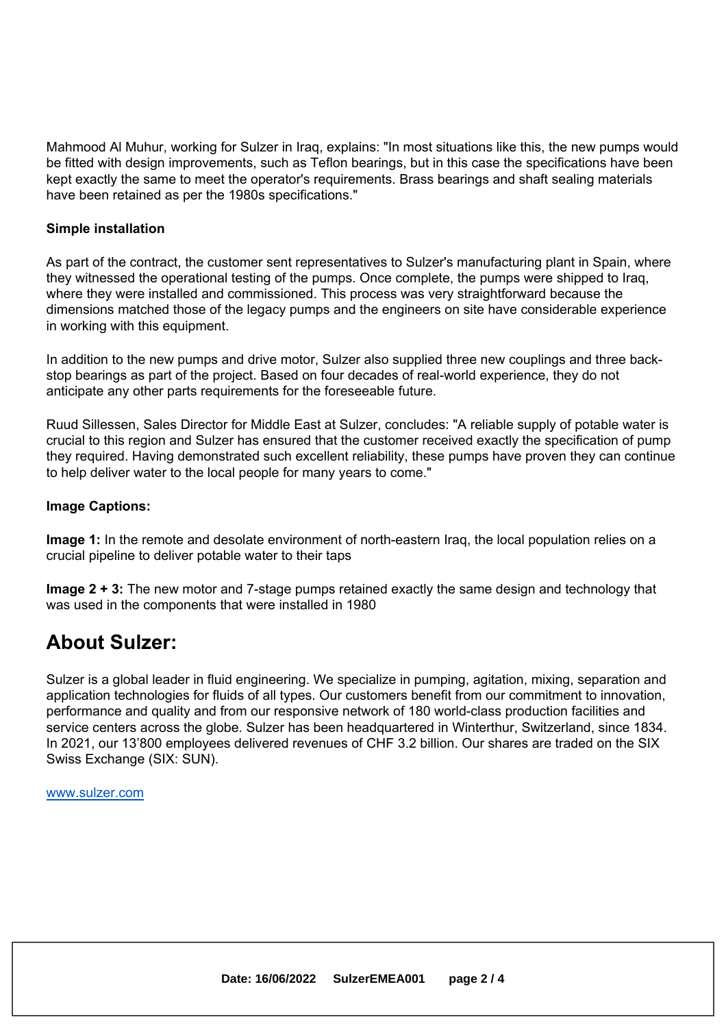Mahmood Al Muhur, working for Sulzer in Iraq, explains: "In most situations like this, the new pumps would be fitted with design improvements, such as Teflon bearings, but in this case the specifications have been kept exactly the same to meet the operator's requirements. Brass bearings and shaft sealing materials have been retained as per the 1980s specifications."

#### **Simple installation**

As part of the contract, the customer sent representatives to Sulzer's manufacturing plant in Spain, where they witnessed the operational testing of the pumps. Once complete, the pumps were shipped to Iraq, where they were installed and commissioned. This process was very straightforward because the dimensions matched those of the legacy pumps and the engineers on site have considerable experience in working with this equipment.

In addition to the new pumps and drive motor, Sulzer also supplied three new couplings and three backstop bearings as part of the project. Based on four decades of real-world experience, they do not anticipate any other parts requirements for the foreseeable future.

Ruud Sillessen, Sales Director for Middle East at Sulzer, concludes: "A reliable supply of potable water is crucial to this region and Sulzer has ensured that the customer received exactly the specification of pump they required. Having demonstrated such excellent reliability, these pumps have proven they can continue to help deliver water to the local people for many years to come."

#### **Image Captions:**

**Image 1:** In the remote and desolate environment of north-eastern Iraq, the local population relies on <sup>a</sup> crucial pipeline to deliver potable water to their taps

**Image 2 <sup>+</sup> 3:** The new motor and 7-stage pumps retained exactly the same design and technology that was used in the components that were installed in 1980

### **About Sulzer:**

Sulzer is <sup>a</sup> global leader in fluid engineering. We specialize in pumping, agitation, mixing, separation and application technologies for fluids of all types. Our customers benefit from our commitment to innovation, performance and quality and from our responsive network of 180 world-class production facilities and service centers across the globe. Sulzer has been headquartered in Winterthur, Switzerland, since 1834. In 2021, our 13'800 employees delivered revenues of CHF 3.2 billion. Our shares are traded on the SIX Swiss Exchange (SIX: SUN).

www.sulzer.com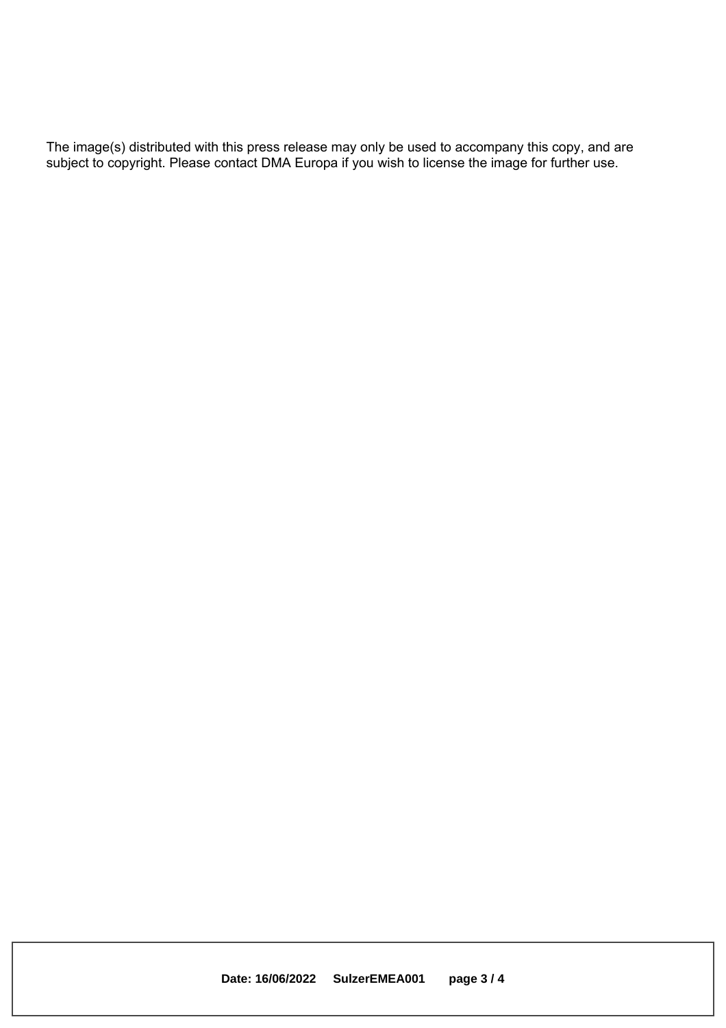The image(s) distributed with this press release may only be used to accompany this copy, and are subject to copyright. Please contact DMA Europa if you wish to license the image for further use.